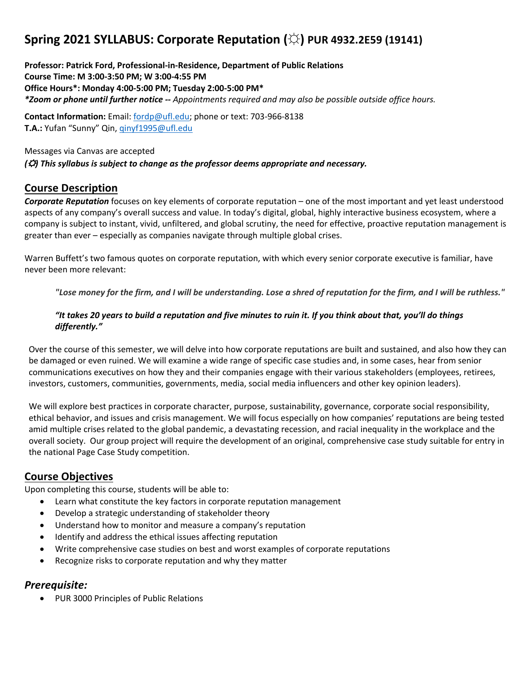# **Spring 2021 SYLLABUS: Corporate Reputation (☼) PUR 4932.2E59 (19141)**

**Professor: Patrick Ford, Professional-in-Residence, Department of Public Relations Course Time: M 3:00-3:50 PM; W 3:00-4:55 PM Office Hours\*: Monday 4:00-5:00 PM; Tuesday 2:00-5:00 PM\*** *\*Zoom or phone until further notice -- Appointments required and may also be possible outside office hours.*

**Contact Information:** Email: fordp@ufl.edu; phone or text: 703-966-8138 **T.A.:** Yufan "Sunny" Qin, qinyf1995@ufl.edu

Messages via Canvas are accepted *(*☼*) This syllabus is subject to change as the professor deems appropriate and necessary.*

#### **Course Description**

*Corporate Reputation* focuses on key elements of corporate reputation – one of the most important and yet least understood aspects of any company's overall success and value. In today's digital, global, highly interactive business ecosystem, where a company is subject to instant, vivid, unfiltered, and global scrutiny, the need for effective, proactive reputation management is greater than ever – especially as companies navigate through multiple global crises.

Warren Buffett's two famous quotes on corporate reputation, with which every senior corporate executive is familiar, have never been more relevant:

"Lose money for the firm, and I will be understanding. Lose a shred of reputation for the firm, and I will be ruthless."

#### *"It takes 20 years to build a reputation and five minutes to ruin it. If you think about that, you'll do things differently."*

Over the course of this semester, we will delve into how corporate reputations are built and sustained, and also how they can be damaged or even ruined. We will examine a wide range of specific case studies and, in some cases, hear from senior communications executives on how they and their companies engage with their various stakeholders (employees, retirees, investors, customers, communities, governments, media, social media influencers and other key opinion leaders).

We will explore best practices in corporate character, purpose, sustainability, governance, corporate social responsibility, ethical behavior, and issues and crisis management. We will focus especially on how companies' reputations are being tested amid multiple crises related to the global pandemic, a devastating recession, and racial inequality in the workplace and the overall society. Our group project will require the development of an original, comprehensive case study suitable for entry in the national Page Case Study competition.

#### **Course Objectives**

Upon completing this course, students will be able to:

- Learn what constitute the key factors in corporate reputation management
- Develop a strategic understanding of stakeholder theory
- Understand how to monitor and measure a company's reputation
- Identify and address the ethical issues affecting reputation
- Write comprehensive case studies on best and worst examples of corporate reputations
- Recognize risks to corporate reputation and why they matter

## *Prerequisite:*

• PUR 3000 Principles of Public Relations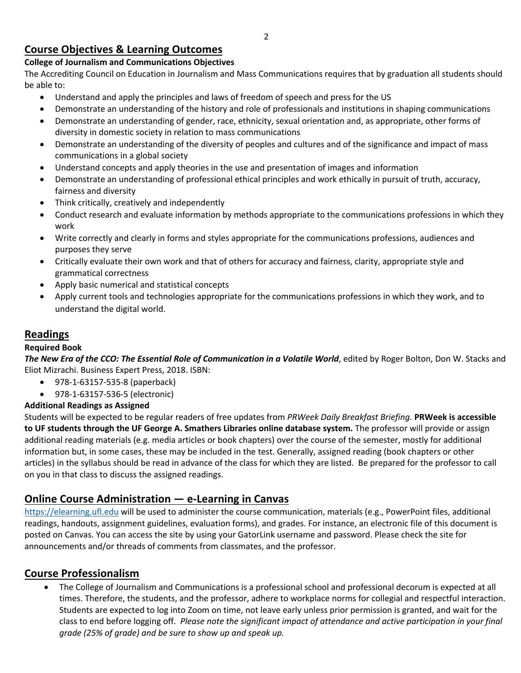## **Course Objectives & Learning Outcomes**

## **College of Journalism and Communications Objectives**

The Accrediting Council on Education in Journalism and Mass Communications requires that by graduation all students should be able to:

- Understand and apply the principles and laws of freedom of speech and press for the US
- Demonstrate an understanding of the history and role of professionals and institutions in shaping communications
- Demonstrate an understanding of gender, race, ethnicity, sexual orientation and, as appropriate, other forms of diversity in domestic society in relation to mass communications
- Demonstrate an understanding of the diversity of peoples and cultures and of the significance and impact of mass communications in a global society
- Understand concepts and apply theories in the use and presentation of images and information
- Demonstrate an understanding of professional ethical principles and work ethically in pursuit of truth, accuracy, fairness and diversity
- Think critically, creatively and independently
- Conduct research and evaluate information by methods appropriate to the communications professions in which they work
- Write correctly and clearly in forms and styles appropriate for the communications professions, audiences and purposes they serve
- Critically evaluate their own work and that of others for accuracy and fairness, clarity, appropriate style and grammatical correctness
- Apply basic numerical and statistical concepts
- Apply current tools and technologies appropriate for the communications professions in which they work, and to understand the digital world.

## **Readings**

## **Required Book**

*The New Era of the CCO: The Essential Role of Communication in a Volatile World*, edited by Roger Bolton, Don W. Stacks and Eliot Mizrachi. Business Expert Press, 2018. ISBN:

- 978-1-63157-535-8 (paperback)
- 978-1-63157-536-5 (electronic)

## **Additional Readings as Assigned**

Students will be expected to be regular readers of free updates from *PRWeek Daily Breakfast Briefing.* **PRWeek is accessible to UF students through the UF George A. Smathers Libraries online database system.** The professor will provide or assign additional reading materials (e.g. media articles or book chapters) over the course of the semester, mostly for additional information but, in some cases, these may be included in the test. Generally, assigned reading (book chapters or other articles) in the syllabus should be read in advance of the class for which they are listed. Be prepared for the professor to call on you in that class to discuss the assigned readings.

## **Online Course Administration — e-Learning in Canvas**

https://elearning.ufl.edu will be used to administer the course communication, materials (e.g., PowerPoint files, additional readings, handouts, assignment guidelines, evaluation forms), and grades. For instance, an electronic file of this document is posted on Canvas. You can access the site by using your GatorLink username and password. Please check the site for announcements and/or threads of comments from classmates, and the professor.

## **Course Professionalism**

• The College of Journalism and Communications is a professional school and professional decorum is expected at all times. Therefore, the students, and the professor, adhere to workplace norms for collegial and respectful interaction. Students are expected to log into Zoom on time, not leave early unless prior permission is granted, and wait for the class to end before logging off. *Please note the significant impact of attendance and active participation in your final grade (25% of grade) and be sure to show up and speak up.*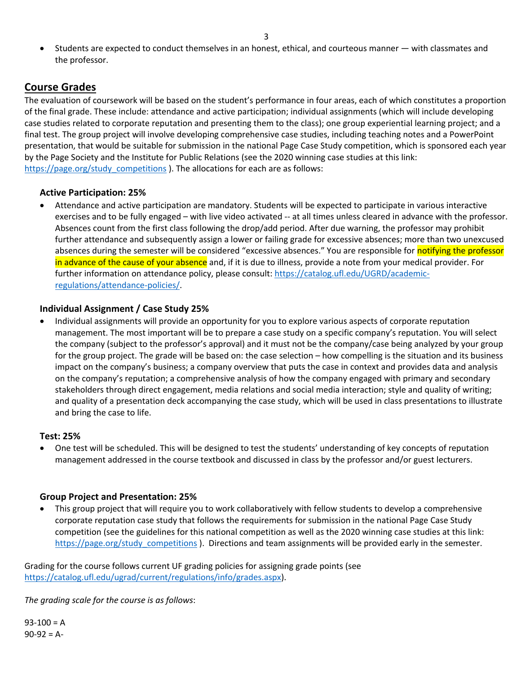• Students are expected to conduct themselves in an honest, ethical, and courteous manner — with classmates and the professor.

## **Course Grades**

The evaluation of coursework will be based on the student's performance in four areas, each of which constitutes a proportion of the final grade. These include: attendance and active participation; individual assignments (which will include developing case studies related to corporate reputation and presenting them to the class); one group experiential learning project; and a final test. The group project will involve developing comprehensive case studies, including teaching notes and a PowerPoint presentation, that would be suitable for submission in the national Page Case Study competition, which is sponsored each year by the Page Society and the Institute for Public Relations (see the 2020 winning case studies at this link: https://page.org/study\_competitions ). The allocations for each are as follows:

#### **Active Participation: 25%**

• Attendance and active participation are mandatory. Students will be expected to participate in various interactive exercises and to be fully engaged – with live video activated -- at all times unless cleared in advance with the professor. Absences count from the first class following the drop/add period. After due warning, the professor may prohibit further attendance and subsequently assign a lower or failing grade for excessive absences; more than two unexcused absences during the semester will be considered "excessive absences." You are responsible for notifying the professor in advance of the cause of your absence and, if it is due to illness, provide a note from your medical provider. For further information on attendance policy, please consult: https://catalog.ufl.edu/UGRD/academicregulations/attendance-policies/.

#### **Individual Assignment / Case Study 25%**

• Individual assignments will provide an opportunity for you to explore various aspects of corporate reputation management. The most important will be to prepare a case study on a specific company's reputation. You will select the company (subject to the professor's approval) and it must not be the company/case being analyzed by your group for the group project. The grade will be based on: the case selection – how compelling is the situation and its business impact on the company's business; a company overview that puts the case in context and provides data and analysis on the company's reputation; a comprehensive analysis of how the company engaged with primary and secondary stakeholders through direct engagement, media relations and social media interaction; style and quality of writing; and quality of a presentation deck accompanying the case study, which will be used in class presentations to illustrate and bring the case to life.

#### **Test: 25%**

• One test will be scheduled. This will be designed to test the students' understanding of key concepts of reputation management addressed in the course textbook and discussed in class by the professor and/or guest lecturers.

#### **Group Project and Presentation: 25%**

• This group project that will require you to work collaboratively with fellow students to develop a comprehensive corporate reputation case study that follows the requirements for submission in the national Page Case Study competition (see the guidelines for this national competition as well as the 2020 winning case studies at this link: https://page.org/study competitions ). Directions and team assignments will be provided early in the semester.

Grading for the course follows current UF grading policies for assigning grade points (see https://catalog.ufl.edu/ugrad/current/regulations/info/grades.aspx).

*The grading scale for the course is as follows*:

 $93-100 = A$  $90-92 = A$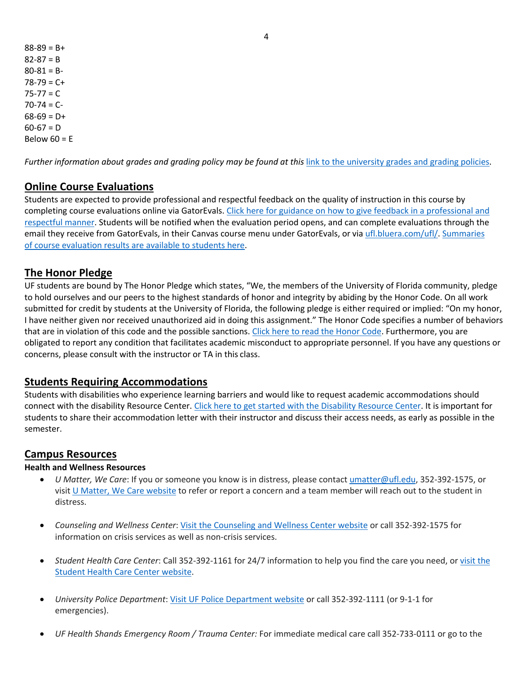$88-89 = B+$  $82 - 87 = B$  $80-81 = B 78-79 = C +$  $75 - 77 = C$  $70-74 = C 68-69 = D+$  $60-67 = D$ Below  $60 = E$ 

*Further information about grades and grading policy may be found at this* link to the university grades and grading policies.

#### **Online Course Evaluations**

Students are expected to provide professional and respectful feedback on the quality of instruction in this course by completing course evaluations online via GatorEvals. Click here for guidance on how to give feedback in a professional and respectful manner. Students will be notified when the evaluation period opens, and can complete evaluations through the email they receive from GatorEvals, in their Canvas course menu under GatorEvals, or via ufl.bluera.com/ufl/. Summaries of course evaluation results are available to students here.

### **The Honor Pledge**

UF students are bound by The Honor Pledge which states, "We, the members of the University of Florida community, pledge to hold ourselves and our peers to the highest standards of honor and integrity by abiding by the Honor Code. On all work submitted for credit by students at the University of Florida, the following pledge is either required or implied: "On my honor, I have neither given nor received unauthorized aid in doing this assignment." The Honor Code specifies a number of behaviors that are in violation of this code and the possible sanctions. Click here to read the Honor Code. Furthermore, you are obligated to report any condition that facilitates academic misconduct to appropriate personnel. If you have any questions or concerns, please consult with the instructor or TA in this class.

#### **Students Requiring Accommodations**

Students with disabilities who experience learning barriers and would like to request academic accommodations should connect with the disability Resource Center. Click here to get started with the Disability Resource Center. It is important for students to share their accommodation letter with their instructor and discuss their access needs, as early as possible in the semester.

#### **Campus Resources**

#### **Health and Wellness Resources**

- *U Matter, We Care*: If you or someone you know is in distress, please contact umatter@ufl.edu, 352-392-1575, or visit U Matter, We Care website to refer or report a concern and a team member will reach out to the student in distress.
- *Counseling and Wellness Center*: Visit the Counseling and Wellness Center website or call 352-392-1575 for information on crisis services as well as non-crisis services.
- *Student Health Care Center*: Call 352-392-1161 for 24/7 information to help you find the care you need, or visit the Student Health Care Center website.
- *University Police Department*: Visit UF Police Department website or call 352-392-1111 (or 9-1-1 for emergencies).
- *UF Health Shands Emergency Room / Trauma Center:* For immediate medical care call 352-733-0111 or go to the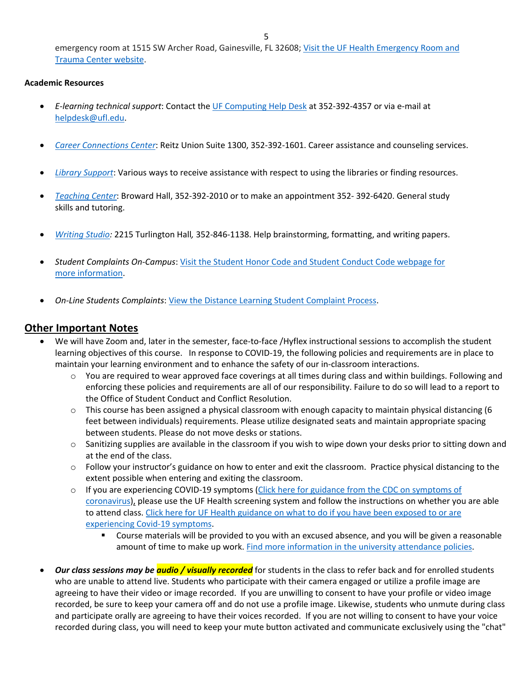emergency room at 1515 SW Archer Road, Gainesville, FL 32608; Visit the UF Health Emergency Room and Trauma Center website.

#### **Academic Resources**

- *E-learning technical support*: Contact the UF Computing Help Desk at 352-392-4357 or via e-mail at helpdesk@ufl.edu.
- *Career Connections Center*: Reitz Union Suite 1300, 352-392-1601. Career assistance and counseling services.
- *Library Support*: Various ways to receive assistance with respect to using the libraries or finding resources.
- *Teaching Center*: Broward Hall, 352-392-2010 or to make an appointment 352- 392-6420. General study skills and tutoring.
- *Writing Studio:* 2215 Turlington Hall*,* 352-846-1138. Help brainstorming, formatting, and writing papers.
- *Student Complaints On-Campus*: Visit the Student Honor Code and Student Conduct Code webpage for more information.
- *On-Line Students Complaints*: View the Distance Learning Student Complaint Process.

### **Other Important Notes**

- We will have Zoom and, later in the semester, face-to-face /Hyflex instructional sessions to accomplish the student learning objectives of this course. In response to COVID-19, the following policies and requirements are in place to maintain your learning environment and to enhance the safety of our in-classroom interactions.
	- $\circ$  You are required to wear approved face coverings at all times during class and within buildings. Following and enforcing these policies and requirements are all of our responsibility. Failure to do so will lead to a report to the Office of Student Conduct and Conflict Resolution.
	- $\circ$  This course has been assigned a physical classroom with enough capacity to maintain physical distancing (6) feet between individuals) requirements. Please utilize designated seats and maintain appropriate spacing between students. Please do not move desks or stations.
	- o Sanitizing supplies are available in the classroom if you wish to wipe down your desks prior to sitting down and at the end of the class.
	- o Follow your instructor's guidance on how to enter and exit the classroom. Practice physical distancing to the extent possible when entering and exiting the classroom.
	- o If you are experiencing COVID-19 symptoms (Click here for guidance from the CDC on symptoms of coronavirus), please use the UF Health screening system and follow the instructions on whether you are able to attend class. Click here for UF Health guidance on what to do if you have been exposed to or are experiencing Covid-19 symptoms.
		- § Course materials will be provided to you with an excused absence, and you will be given a reasonable amount of time to make up work. Find more information in the university attendance policies.
- *Our class sessions may be audio / visually recorded* for students in the class to refer back and for enrolled students who are unable to attend live. Students who participate with their camera engaged or utilize a profile image are agreeing to have their video or image recorded. If you are unwilling to consent to have your profile or video image recorded, be sure to keep your camera off and do not use a profile image. Likewise, students who unmute during class and participate orally are agreeing to have their voices recorded. If you are not willing to consent to have your voice recorded during class, you will need to keep your mute button activated and communicate exclusively using the "chat"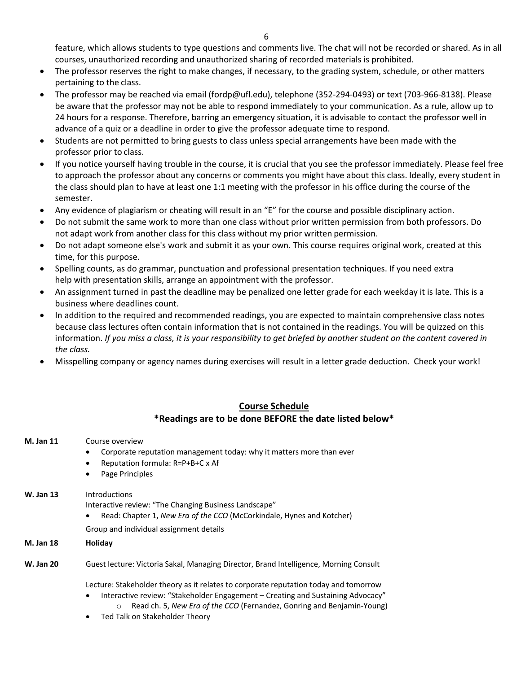feature, which allows students to type questions and comments live. The chat will not be recorded or shared. As in all courses, unauthorized recording and unauthorized sharing of recorded materials is prohibited.

- The professor reserves the right to make changes, if necessary, to the grading system, schedule, or other matters pertaining to the class.
- The professor may be reached via email (fordp@ufl.edu), telephone (352-294-0493) or text (703-966-8138). Please be aware that the professor may not be able to respond immediately to your communication. As a rule, allow up to 24 hours for a response. Therefore, barring an emergency situation, it is advisable to contact the professor well in advance of a quiz or a deadline in order to give the professor adequate time to respond.
- Students are not permitted to bring guests to class unless special arrangements have been made with the professor prior to class.
- If you notice yourself having trouble in the course, it is crucial that you see the professor immediately. Please feel free to approach the professor about any concerns or comments you might have about this class. Ideally, every student in the class should plan to have at least one 1:1 meeting with the professor in his office during the course of the semester.
- Any evidence of plagiarism or cheating will result in an "E" for the course and possible disciplinary action.
- Do not submit the same work to more than one class without prior written permission from both professors. Do not adapt work from another class for this class without my prior written permission.
- Do not adapt someone else's work and submit it as your own. This course requires original work, created at this time, for this purpose.
- Spelling counts, as do grammar, punctuation and professional presentation techniques. If you need extra help with presentation skills, arrange an appointment with the professor.
- An assignment turned in past the deadline may be penalized one letter grade for each weekday it is late. This is a business where deadlines count.
- In addition to the required and recommended readings, you are expected to maintain comprehensive class notes because class lectures often contain information that is not contained in the readings. You will be quizzed on this information. *If you miss a class, it is your responsibility to get briefed by another student on the content covered in the class.*
- Misspelling company or agency names during exercises will result in a letter grade deduction. Check your work!

#### **Course Schedule \*Readings are to be done BEFORE the date listed below\***

**M. Jan 11** Course overview • Corporate reputation management today: why it matters more than ever • Reputation formula: R=P+B+C x Af • Page Principles **W. Jan 13** Introductions Interactive review: "The Changing Business Landscape" • Read: Chapter 1, *New Era of the CCO* (McCorkindale, Hynes and Kotcher) Group and individual assignment details **M. Jan 18 Holiday W. Jan 20** Guest lecture: Victoria Sakal, Managing Director, Brand Intelligence, Morning Consult Lecture: Stakeholder theory as it relates to corporate reputation today and tomorrow • Interactive review: "Stakeholder Engagement – Creating and Sustaining Advocacy" o Read ch. 5, *New Era of the CCO* (Fernandez, Gonring and Benjamin-Young) • Ted Talk on Stakeholder Theory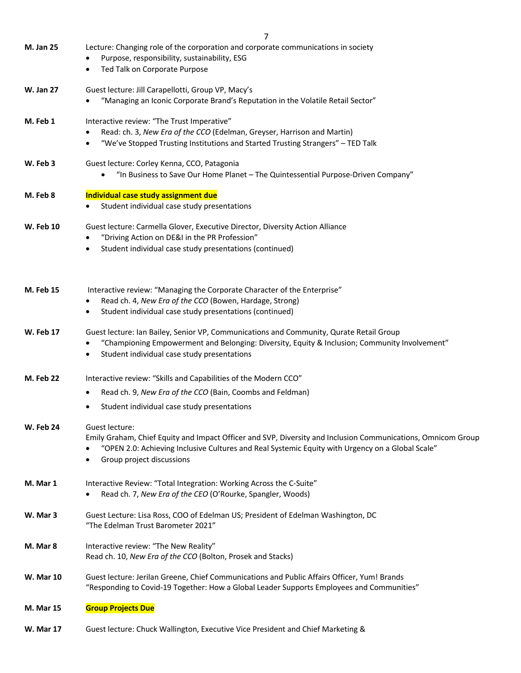|                  | 7                                                                                                                                                                                                                                                               |
|------------------|-----------------------------------------------------------------------------------------------------------------------------------------------------------------------------------------------------------------------------------------------------------------|
| <b>M. Jan 25</b> | Lecture: Changing role of the corporation and corporate communications in society<br>Purpose, responsibility, sustainability, ESG<br>Ted Talk on Corporate Purpose<br>٠                                                                                         |
| <b>W. Jan 27</b> | Guest lecture: Jill Carapellotti, Group VP, Macy's<br>"Managing an Iconic Corporate Brand's Reputation in the Volatile Retail Sector"                                                                                                                           |
| M. Feb 1         | Interactive review: "The Trust Imperative"<br>Read: ch. 3, New Era of the CCO (Edelman, Greyser, Harrison and Martin)<br>"We've Stopped Trusting Institutions and Started Trusting Strangers" - TED Talk                                                        |
| W. Feb 3         | Guest lecture: Corley Kenna, CCO, Patagonia<br>"In Business to Save Our Home Planet - The Quintessential Purpose-Driven Company"<br>$\bullet$                                                                                                                   |
| M. Feb 8         | Individual case study assignment due<br>Student individual case study presentations                                                                                                                                                                             |
| <b>W. Feb 10</b> | Guest lecture: Carmella Glover, Executive Director, Diversity Action Alliance<br>"Driving Action on DE&I in the PR Profession"<br>Student individual case study presentations (continued)                                                                       |
| <b>M. Feb 15</b> | Interactive review: "Managing the Corporate Character of the Enterprise"<br>Read ch. 4, New Era of the CCO (Bowen, Hardage, Strong)<br>Student individual case study presentations (continued)<br>٠                                                             |
| <b>W. Feb 17</b> | Guest lecture: Ian Bailey, Senior VP, Communications and Community, Qurate Retail Group<br>"Championing Empowerment and Belonging: Diversity, Equity & Inclusion; Community Involvement"<br>Student individual case study presentations                         |
| <b>M. Feb 22</b> | Interactive review: "Skills and Capabilities of the Modern CCO"<br>Read ch. 9, New Era of the CCO (Bain, Coombs and Feldman)<br>Student individual case study presentations<br>٠                                                                                |
| W. Feb 24        | Guest lecture:<br>Emily Graham, Chief Equity and Impact Officer and SVP, Diversity and Inclusion Communications, Omnicom Group<br>"OPEN 2.0: Achieving Inclusive Cultures and Real Systemic Equity with Urgency on a Global Scale"<br>Group project discussions |
| M. Mar 1         | Interactive Review: "Total Integration: Working Across the C-Suite"<br>Read ch. 7, New Era of the CEO (O'Rourke, Spangler, Woods)                                                                                                                               |
| W. Mar 3         | Guest Lecture: Lisa Ross, COO of Edelman US; President of Edelman Washington, DC<br>"The Edelman Trust Barometer 2021"                                                                                                                                          |
| M. Mar 8         | Interactive review: "The New Reality"<br>Read ch. 10, New Era of the CCO (Bolton, Prosek and Stacks)                                                                                                                                                            |
| <b>W. Mar 10</b> | Guest lecture: Jerilan Greene, Chief Communications and Public Affairs Officer, Yum! Brands<br>"Responding to Covid-19 Together: How a Global Leader Supports Employees and Communities"                                                                        |
| M. Mar 15        | <b>Group Projects Due</b>                                                                                                                                                                                                                                       |

**W. Mar 17** Guest lecture: Chuck Wallington, Executive Vice President and Chief Marketing &